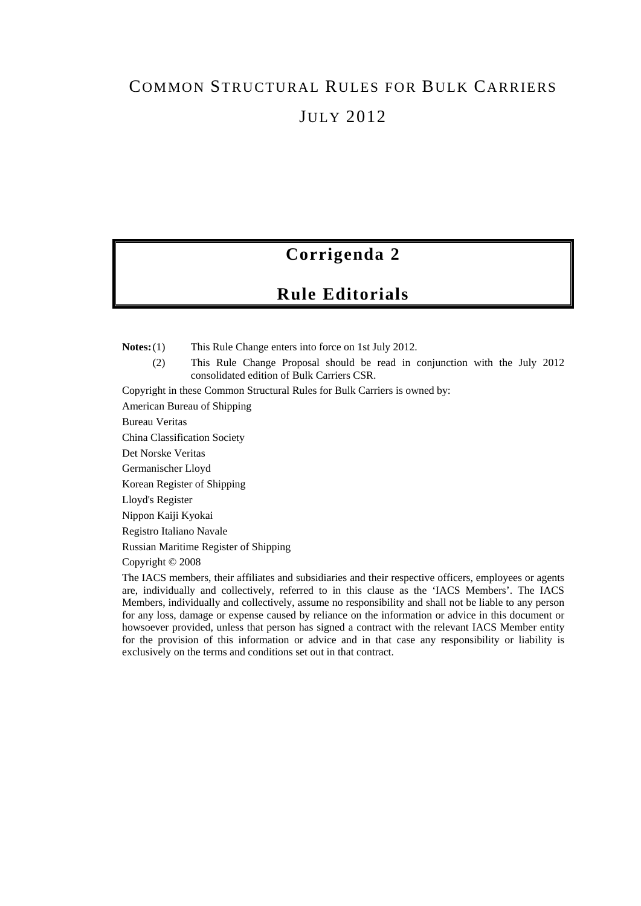# COMMON STRUCTURAL RULES FOR BULK CARRIERS JULY 2012

### **Corrigenda 2**

### **Rule Editorials**

**Notes:** (1) This Rule Change enters into force on 1st July 2012.

(2) This Rule Change Proposal should be read in conjunction with the July 2012 consolidated edition of Bulk Carriers CSR.

Copyright in these Common Structural Rules for Bulk Carriers is owned by:

American Bureau of Shipping

Bureau Veritas

China Classification Society

Det Norske Veritas

Germanischer Lloyd

Korean Register of Shipping

Lloyd's Register

Nippon Kaiji Kyokai

Registro Italiano Navale

Russian Maritime Register of Shipping

Copyright © 2008

The IACS members, their affiliates and subsidiaries and their respective officers, employees or agents are, individually and collectively, referred to in this clause as the 'IACS Members'. The IACS Members, individually and collectively, assume no responsibility and shall not be liable to any person for any loss, damage or expense caused by reliance on the information or advice in this document or howsoever provided, unless that person has signed a contract with the relevant IACS Member entity for the provision of this information or advice and in that case any responsibility or liability is exclusively on the terms and conditions set out in that contract.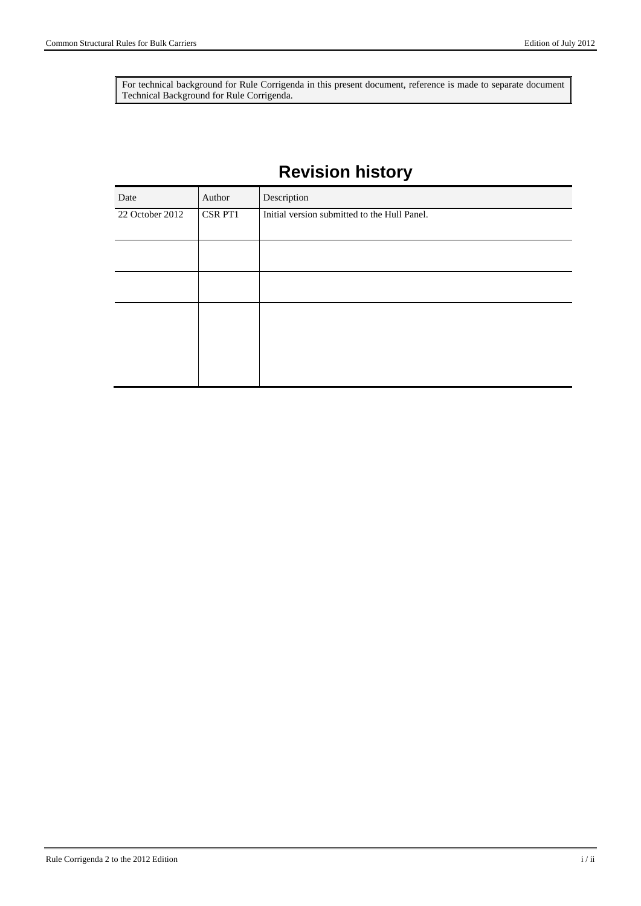For technical background for Rule Corrigenda in this present document, reference is made to separate document Technical Background for Rule Corrigenda.

## **Revision history**

| Date            | Author  | Description                                  |
|-----------------|---------|----------------------------------------------|
| 22 October 2012 | CSR PT1 | Initial version submitted to the Hull Panel. |
|                 |         |                                              |
|                 |         |                                              |
|                 |         |                                              |
|                 |         |                                              |
|                 |         |                                              |
|                 |         |                                              |
|                 |         |                                              |
|                 |         |                                              |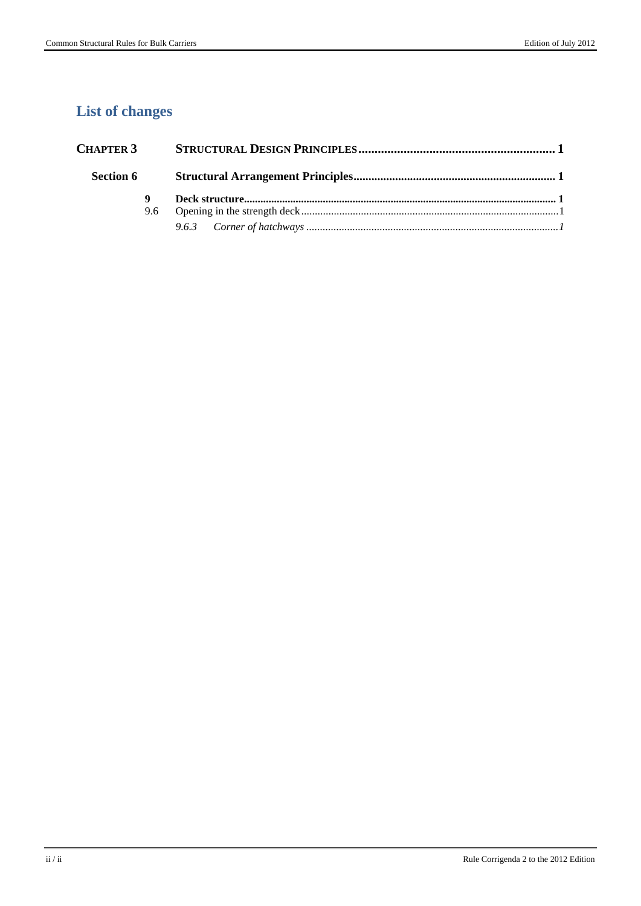### **List of changes**

| <b>CHAPTER 3</b> |   |  |  |
|------------------|---|--|--|
| <b>Section 6</b> |   |  |  |
|                  | 9 |  |  |
|                  |   |  |  |